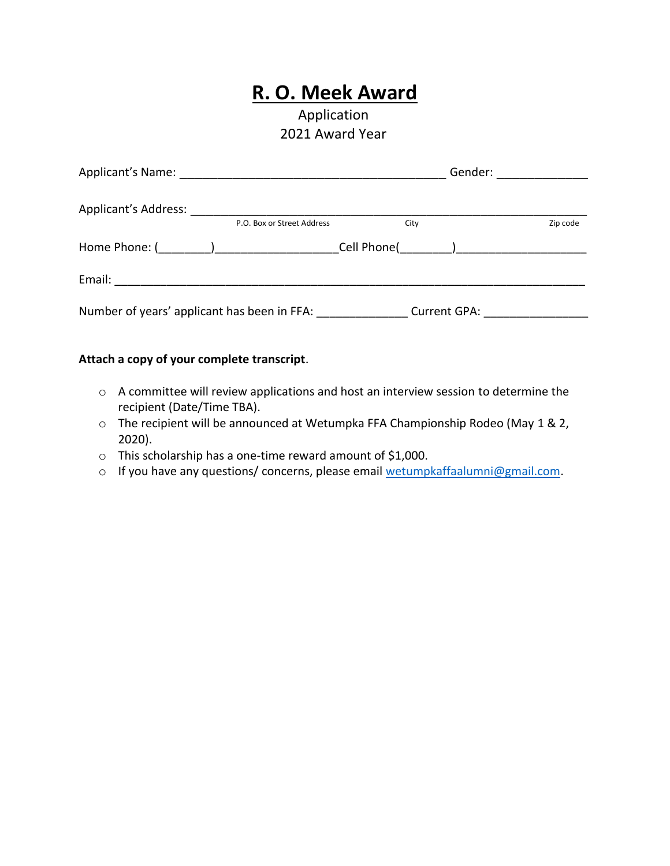## **R. O. Meek Award**

## Application 2021 Award Year

| Applicant's Name: Name: Name and Applicant and Applicant of Name and Applicant and Applicant and Application |                                   | Gender:      |          |
|--------------------------------------------------------------------------------------------------------------|-----------------------------------|--------------|----------|
| <b>Applicant's Address:</b>                                                                                  | P.O. Box or Street Address        |              |          |
|                                                                                                              |                                   | City         | Zip code |
|                                                                                                              | Cell Phone( ) ___________________ |              |          |
|                                                                                                              |                                   |              |          |
| Number of years' applicant has been in FFA:                                                                  |                                   | Current GPA: |          |

## **Attach a copy of your complete transcript**.

- o A committee will review applications and host an interview session to determine the recipient (Date/Time TBA).
- o The recipient will be announced at Wetumpka FFA Championship Rodeo (May 1 & 2, 2020).
- o This scholarship has a one-time reward amount of \$1,000.
- o If you have any questions/ concerns, please email [wetumpkaffaalumni@gmail.com.](mailto:wetumpkaffaalumni@gmail.com)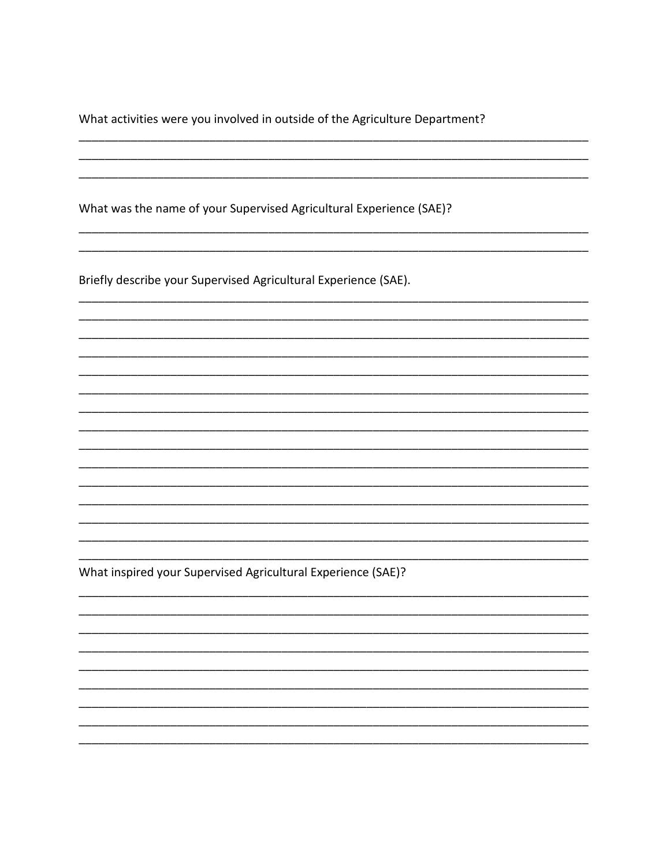What activities were you involved in outside of the Agriculture Department?

What was the name of your Supervised Agricultural Experience (SAE)?

Briefly describe your Supervised Agricultural Experience (SAE).

What inspired your Supervised Agricultural Experience (SAE)?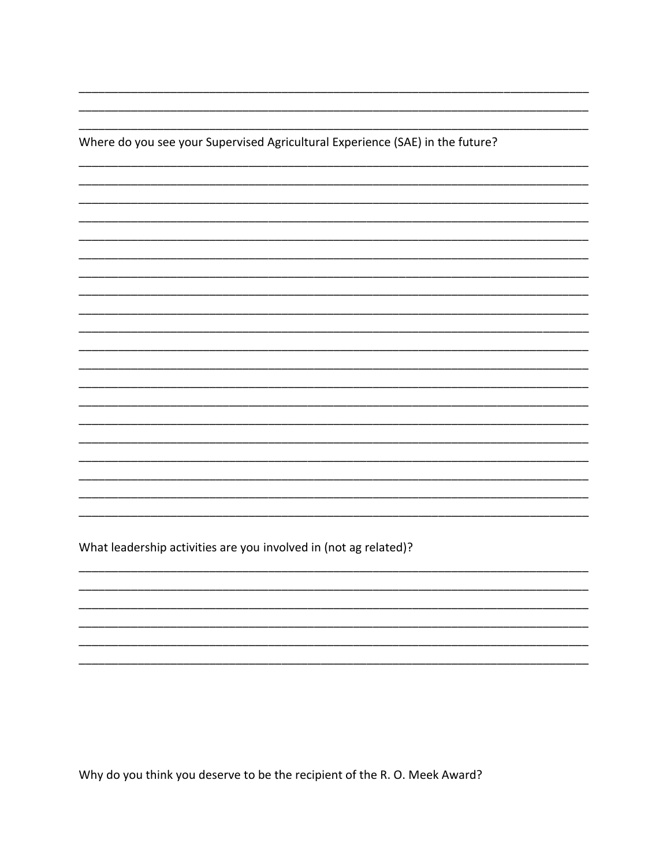Where do you see your Supervised Agricultural Experience (SAE) in the future?

What leadership activities are you involved in (not ag related)?

Why do you think you deserve to be the recipient of the R.O. Meek Award?